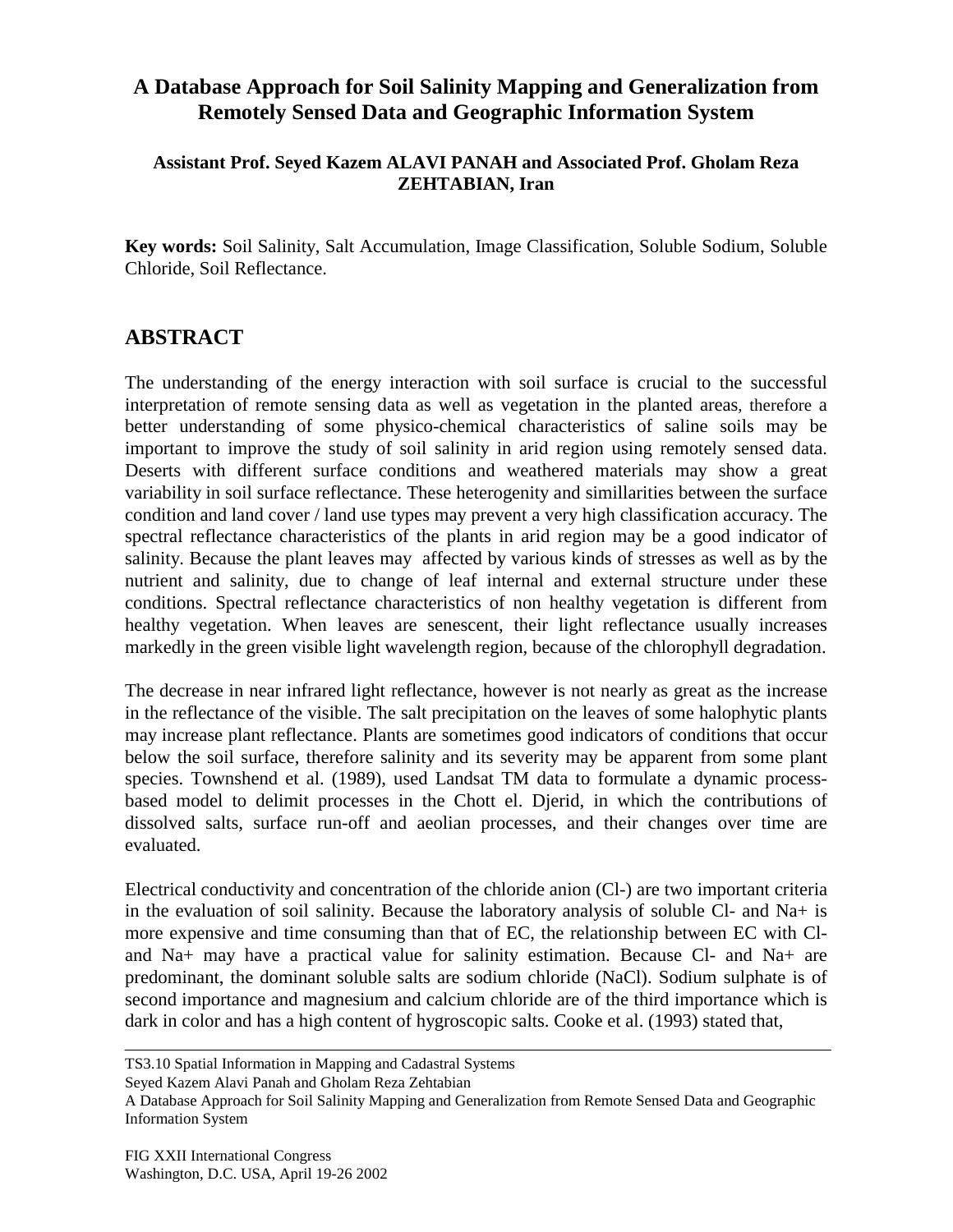## **A Database Approach for Soil Salinity Mapping and Generalization from Remotely Sensed Data and Geographic Information System**

## **Assistant Prof. Seyed Kazem ALAVI PANAH and Associated Prof. Gholam Reza ZEHTABIAN, Iran**

**Key words:** Soil Salinity, Salt Accumulation, Image Classification, Soluble Sodium, Soluble Chloride, Soil Reflectance.

## **ABSTRACT**

The understanding of the energy interaction with soil surface is crucial to the successful interpretation of remote sensing data as well as vegetation in the planted areas, therefore a better understanding of some physico-chemical characteristics of saline soils may be important to improve the study of soil salinity in arid region using remotely sensed data. Deserts with different surface conditions and weathered materials may show a great variability in soil surface reflectance. These heterogenity and simillarities between the surface condition and land cover / land use types may prevent a very high classification accuracy. The spectral reflectance characteristics of the plants in arid region may be a good indicator of salinity. Because the plant leaves may affected by various kinds of stresses as well as by the nutrient and salinity, due to change of leaf internal and external structure under these conditions. Spectral reflectance characteristics of non healthy vegetation is different from healthy vegetation. When leaves are senescent, their light reflectance usually increases markedly in the green visible light wavelength region, because of the chlorophyll degradation.

The decrease in near infrared light reflectance, however is not nearly as great as the increase in the reflectance of the visible. The salt precipitation on the leaves of some halophytic plants may increase plant reflectance. Plants are sometimes good indicators of conditions that occur below the soil surface, therefore salinity and its severity may be apparent from some plant species. Townshend et al. (1989), used Landsat TM data to formulate a dynamic processbased model to delimit processes in the Chott el. Djerid, in which the contributions of dissolved salts, surface run-off and aeolian processes, and their changes over time are evaluated.

Electrical conductivity and concentration of the chloride anion (Cl-) are two important criteria in the evaluation of soil salinity. Because the laboratory analysis of soluble Cl- and Na+ is more expensive and time consuming than that of EC, the relationship between EC with Cland Na+ may have a practical value for salinity estimation. Because Cl- and Na+ are predominant, the dominant soluble salts are sodium chloride (NaCl). Sodium sulphate is of second importance and magnesium and calcium chloride are of the third importance which is dark in color and has a high content of hygroscopic salts. Cooke et al. (1993) stated that,

Seyed Kazem Alavi Panah and Gholam Reza Zehtabian

TS3.10 Spatial Information in Mapping and Cadastral Systems

A Database Approach for Soil Salinity Mapping and Generalization from Remote Sensed Data and Geographic Information System